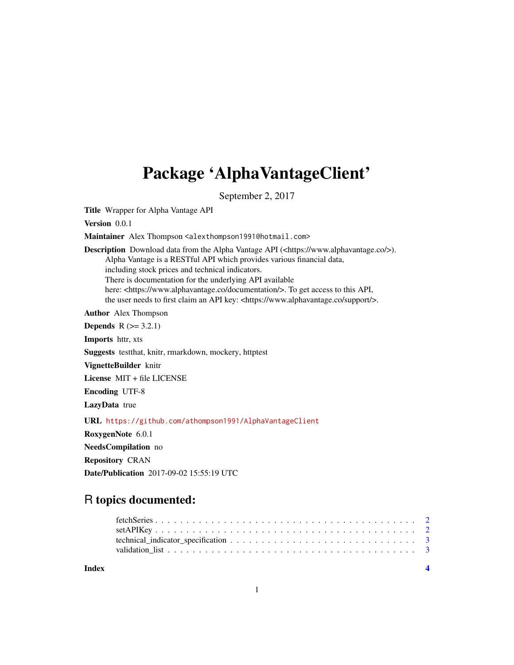# Package 'AlphaVantageClient'

September 2, 2017

Title Wrapper for Alpha Vantage API

Version 0.0.1

Maintainer Alex Thompson <alexthompson1991@hotmail.com>

Description Download data from the Alpha Vantage API (<https://www.alphavantage.co/>). Alpha Vantage is a RESTful API which provides various financial data, including stock prices and technical indicators. There is documentation for the underlying API available here: <https://www.alphavantage.co/documentation/>. To get access to this API, the user needs to first claim an API key: <https://www.alphavantage.co/support/>.

Author Alex Thompson

**Depends**  $R$  ( $> = 3.2.1$ )

Imports httr, xts

Suggests testthat, knitr, rmarkdown, mockery, httptest

VignetteBuilder knitr

License MIT + file LICENSE

Encoding UTF-8

LazyData true

URL <https://github.com/athompson1991/AlphaVantageClient>

RoxygenNote 6.0.1

```
NeedsCompilation no
```
Repository CRAN

Date/Publication 2017-09-02 15:55:19 UTC

# R topics documented:

| Index |  |
|-------|--|
|       |  |
|       |  |
|       |  |
|       |  |

#### 1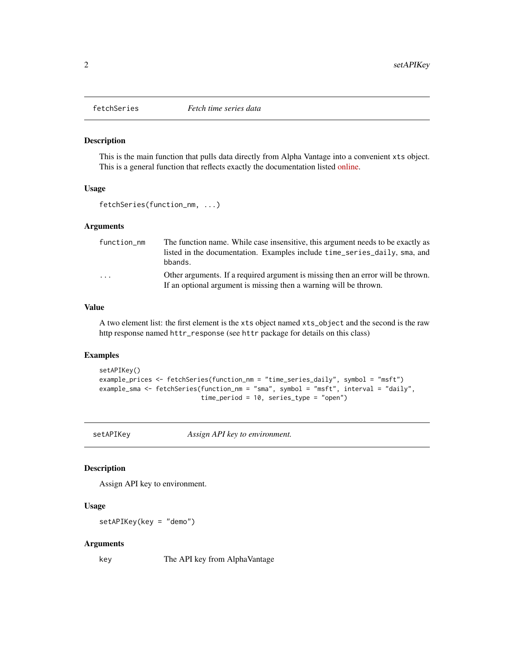<span id="page-1-0"></span>

#### Description

This is the main function that pulls data directly from Alpha Vantage into a convenient xts object. This is a general function that reflects exactly the documentation listed [online.](https://www.alphavantage.co/documentation/)

#### Usage

```
fetchSeries(function_nm, ...)
```
#### Arguments

| function_nm | The function name. While case insensitive, this argument needs to be exactly as  |
|-------------|----------------------------------------------------------------------------------|
|             | listed in the documentation. Examples include time_series_daily, sma, and        |
|             | bbands.                                                                          |
| $\cdots$    | Other arguments. If a required argument is missing then an error will be thrown. |
|             | If an optional argument is missing then a warning will be thrown.                |

#### Value

A two element list: the first element is the xts object named xts\_object and the second is the raw http response named httr\_response (see httr package for details on this class)

#### Examples

```
setAPIKey()
example_prices <- fetchSeries(function_nm = "time_series_daily", symbol = "msft")
example_sma <- fetchSeries(function_nm = "sma", symbol = "msft", interval = "daily",
                           time_period = 10, series_type = "open")
```
setAPIKey *Assign API key to environment.*

#### Description

Assign API key to environment.

#### Usage

setAPIKey(key = "demo")

#### Arguments

key The API key from AlphaVantage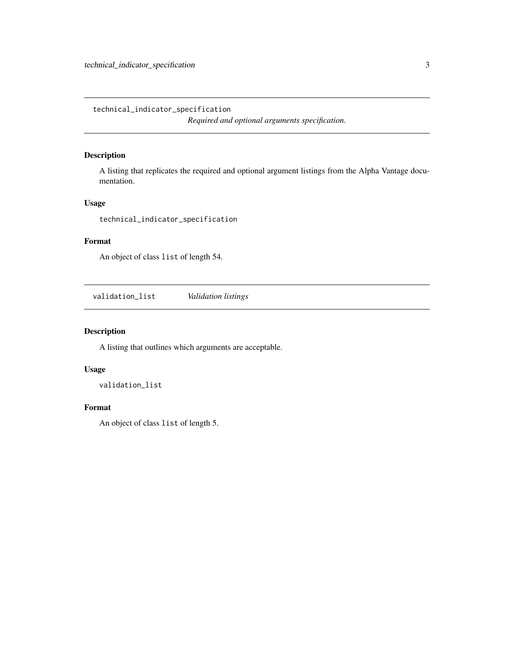<span id="page-2-0"></span>technical\_indicator\_specification *Required and optional arguments specification.*

#### Description

A listing that replicates the required and optional argument listings from the Alpha Vantage documentation.

# Usage

technical\_indicator\_specification

## Format

An object of class list of length 54.

validation\_list *Validation listings*

#### Description

A listing that outlines which arguments are acceptable.

#### Usage

validation\_list

## Format

An object of class list of length 5.